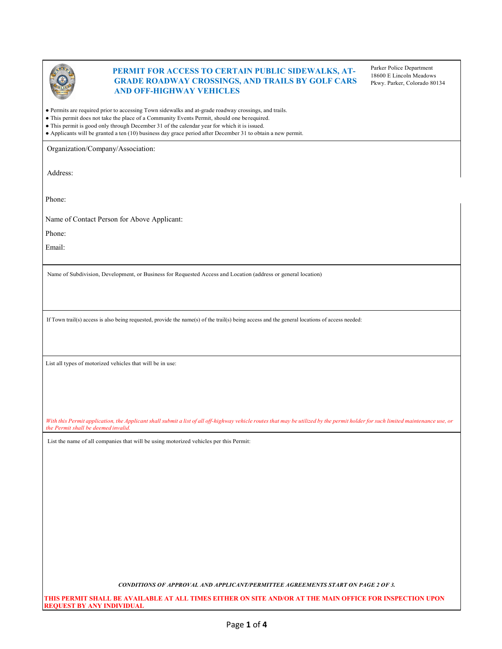

## **PERMIT FOR ACCESS TO CERTAIN PUBLIC SIDEWALKS, AT-GRADE ROADWAY CROSSINGS, AND TRAILS BY GOLF CARS AND OFF-HIGHWAY VEHICLES**

Parker Police Department 18600 E Lincoln Meadows Pkwy. Parker, Colorado 80134

● Permits are required prior to accessing Town sidewalks and at-grade roadway crossings, and trails.

- This permit does not take the place of a Community Events Permit, should one berequired.
- This permit is good only through December 31 of the calendar year for which it is issued.

● Applicants will be granted a ten (10) business day grace period after December 31 to obtain a new permit.

Organization/Company/Association:

Address:

Phone:

Name of Contact Person for Above Applicant:

Phone:

Email:

Name of Subdivision, Development, or Business for Requested Access and Location (address or general location)

If Town trail(s) access is also being requested, provide the name(s) of the trail(s) being access and the general locations of access needed:

List all types of motorized vehicles that will be in use:

With this Permit application, the Applicant shall submit a list of all off-highway vehicle routes that may be utilized by the permit holder for such limited maintenance use, or *the Permit shall be deemed invalid.*

List the name of all companies that will be using motorized vehicles per this Permit:

*CONDITIONS OF APPROVAL AND APPLICANT/PERMITTEE AGREEMENTS START ON PAGE 2 OF 3.*

**THIS PERMIT SHALL BE AVAILABLE AT ALL TIMES EITHER ON SITE AND/OR AT THE MAIN OFFICE FOR INSPECTION UPON REQUEST BY ANY INDIVIDUAL**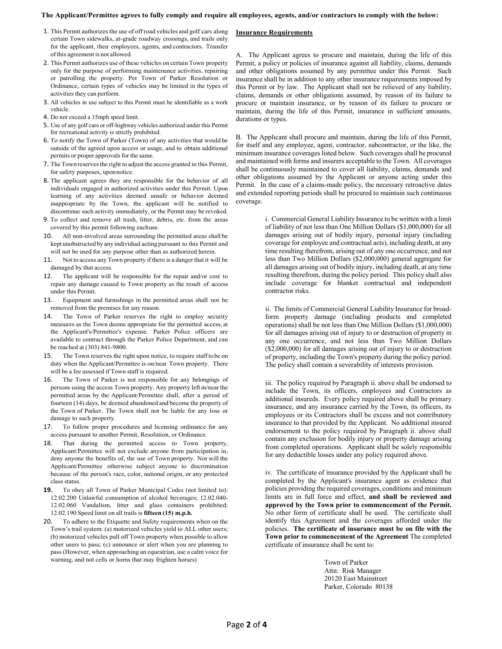## **The Applicant/Permittee agrees to fully comply and require all employees, agents, and/or contractors to comply with the below:**

**Insurance Requirements**

- 1. This Permit authorizes the use of off road vehicles and golf cars along certain Town sidewalks, at-grade roadway crossings, and trails only for the applicant, their employees, agents, and contractors. Transfer ofthis agreement is not allowed.
- 2. This Permit authorizes use of these vehicles on certain Town property only for the purpose of performing maintenance activities, repairing or patrolling the property. Per Town of Parker Resolution or Ordinance, certain types of vehicles may be limited in the types of activities they can perform.
- 3. All vehicles in use subject to this Permit must be identifiable as a work vehicle.
- 4. Do not exceed a 15mph speed limit.
- 5. Use of any golf cars or off-highway vehicles authorized under this Permit for recreational activity is strictly prohibited.
- 6. To notify the Town of Parker (Town) of any activities that would be outside of the agreed upon access or usage, and to obtain additional permits or proper approvals for the same.
- 7. The Town reserves the right to adjust the access granted in this Permit, for safety purposes, uponnotice.
- 8. The applicant agrees they are responsible for the behavior of all individuals engaged in authorized activities under this Permit. Upon learning of any activities deemed unsafe or behavior deemed inappropriate by the Town, the applicant will be notified to discontinue such activity immediately, or the Permit may be revoked.
- 9. To collect and remove all trash, litter, debris, etc. from the areas covered by this permit following eachuse.
- 10. All non-involved areas surrounding the permitted areas shall be kept unobstructed by any individual actingpursuant to this Permit and will not be used for any purpose other than as authorized herein.
- 11. Not to access any Town property if there is a danger that it will be damaged by that access.
- 12. The applicant will be responsible for the repair and/or cost to repair any damage caused to Town property as the result of access under this Permit.
- 13. Equipment and furnishings in the permitted areas shall not be removed from the premises for any reason.
- 14. The Town of Parker reserves the right to employ security measures as the Town deems appropriate for the permitted access, at the Applicant's/Permittee's expense. Parker Police officers are available to contract through the Parker Police Department, and can be reached at (303) 841-9800.
- 15. The Town reserves the right upon notice, to require staffto be on duty when the Applicant/Permittee is on/near Town property. There will be a fee assessed if Town staff is required.
- 16. The Town of Parker is not responsible for any belongings of persons using the access Town property. Any property left in/nearthe permitted areas by the Applicant/Permittee shall, after a period of fourteen (14) days, be deemed abandoned and become the property of the Town of Parker. The Town shall not be liable for any loss or damage to such property.
- 17. To follow proper procedures and licensing ordinance for any access pursuant to another Permit, Resolution, or Ordinance.
- 18. That during the permitted access to Town property, Applicant/Permittee will not exclude anyone from participation in, deny anyone the benefits of, the use of Town property. Nor will the Applicant/Permittee otherwise subject anyone to discrimination because of the person's race, color, national origin, or any protected class status.
- **19.** To obey all Town of Parker Municipal Codes (not limited to): 12.02.200 Unlawful consumption of alcohol beverages; 12.02.040- 12.02.060 Vandalism, litter and glass containers prohibited; 12.02.190 Speed limit on all trails is **fifteen (15) m.p.h.**
- 20. To adhere to the Etiquette and Safety requirements when on the Town's trail system: (a) motorized vehicles yield to ALL other users; (b) motorized vehicles pull off Town property when possible to allow other users to pass; (c) announce or alert when you are planning to pass (However, when approaching an equestrian, use a calm voice for warning, and not cells or horns that may frighten horses)

A. The Applicant agrees to procure and maintain, during the life of this Permit, a policy or policies of insurance against all liability, claims, demands and other obligations assumed by any permittee under this Permit. Such insurance shall be in addition to any other insurance requirements imposed by this Permit or by law. The Applicant shall not be relieved of any liability, claims, demands or other obligations assumed, by reason of its failure to procure or maintain insurance, or by reason of its failure to procure or maintain, during the life of this Permit, insurance in sufficient amounts, durations or types.

B. The Applicant shall procure and maintain, during the life of this Permit, for itself and any employee, agent, contractor, subcontractor, or the like, the minimum insurance coverages listed below. Such coverages shall be procured and maintained with forms and insurers acceptable to the Town. All coverages shall be continuously maintained to cover all liability, claims, demands and other obligations assumed by the Applicant or anyone acting under this Permit. In the case of a claims-made policy, the necessary retroactive dates and extended reporting periods shall be procured to maintain such continuous coverage.

> i. Commercial General Liability Insurance to be written with a limit of liability of not less than One Million Dollars (\$1,000,000) for all damages arising out of bodily injury, personal injury (including coverage for employee and contractual acts), including death, at any time resulting therefrom, arising out of any one occurrence, and not less than Two Million Dollars (\$2,000,000) general aggregate for all damages arising out of bodily injury, including death, at any time resulting therefrom, during the policy period. This policy shall also include coverage for blanket contractual and independent contractor risks.

> ii. The limits of Commercial General Liability Insurance for broadform property damage (including products and completed operations) shall be not less than One Million Dollars (\$1,000,000) for all damages arising out of injury to or destruction of property in any one occurrence, and not less than Two Million Dollars (\$2,000,000) for all damages arising out of injury to or destruction of property, including the Town's property during the policy period. The policy shall contain a severability of interests provision.

> iii. The policy required by Paragraph ii. above shall be endorsed to include the Town, its officers, employees and Contractors as additional insureds. Every policy required above shall be primary insurance, and any insurance carried by the Town, its officers, its employees or its Contractors shall be excess and not contributory insurance to that provided by the Applicant. No additional insured endorsement to the policy required by Paragraph ii. above shall contain any exclusion for bodily injury or property damage arising from completed operations. Applicant shall be solely responsible for any deductible losses under any policy required above.

> iv. The certificate of insurance provided by the Applicant shall be completed by the Applicant's insurance agent as evidence that policies providing the required coverages, conditions and minimum limits are in full force and effect, **and shall be reviewed and approved by the Town prior to commencement of the Permit.** No other form of certificate shall be used. The certificate shall identify this Agreement and the coverages afforded under the policies. **The certificate of insurance must be on file with the Town prior to commencement of the Agreement** The completed certificate of insurance shall be sent to:

> > Town of Parker Attn: Risk Manager 20120 East Mainstreet Parker, Colorado 80138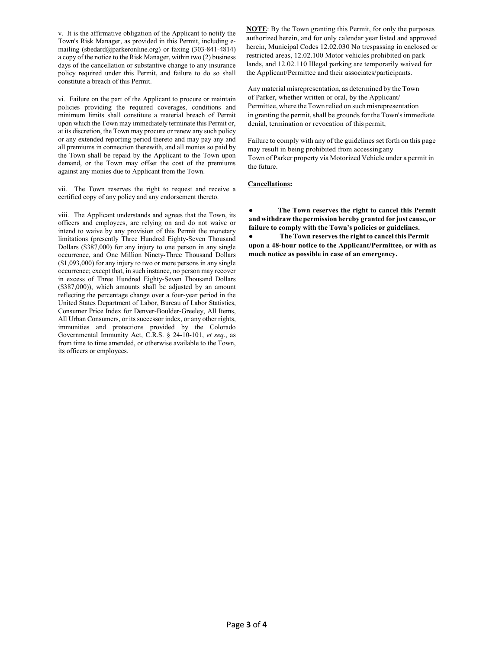v. It is the affirmative obligation of the Applicant to notify the Town's Risk Manager, as provided in this Permit, including emailing (sbedard@parkeronline.org) or faxing (303-841-4814) a copy of the notice to the Risk Manager, within two (2) business days of the cancellation or substantive change to any insurance policy required under this Permit, and failure to do so shall constitute a breach of this Permit.

vi. Failure on the part of the Applicant to procure or maintain policies providing the required coverages, conditions and minimum limits shall constitute a material breach of Permit upon which the Town may immediately terminate this Permit or, at its discretion, the Town may procure or renew any such policy or any extended reporting period thereto and may pay any and all premiums in connection therewith, and all monies so paid by the Town shall be repaid by the Applicant to the Town upon demand, or the Town may offset the cost of the premiums against any monies due to Applicant from the Town.

vii. The Town reserves the right to request and receive a certified copy of any policy and any endorsement thereto.

viii. The Applicant understands and agrees that the Town, its officers and employees, are relying on and do not waive or intend to waive by any provision of this Permit the monetary limitations (presently Three Hundred Eighty-Seven Thousand Dollars (\$387,000) for any injury to one person in any single occurrence, and One Million Ninety-Three Thousand Dollars (\$1,093,000) for any injury to two or more persons in any single occurrence; except that, in such instance, no person may recover in excess of Three Hundred Eighty-Seven Thousand Dollars (\$387,000)), which amounts shall be adjusted by an amount reflecting the percentage change over a four-year period in the United States Department of Labor, Bureau of Labor Statistics, Consumer Price Index for Denver-Boulder-Greeley, All Items, All Urban Consumers, or its successor index, or any other rights, immunities and protections provided by the Colorado Governmental Immunity Act, C.R.S. § 24-10-101, *et seq*., as from time to time amended, or otherwise available to the Town, its officers or employees.

**NOTE**: By the Town granting this Permit, for only the purposes authorized herein, and for only calendar year listed and approved herein, Municipal Codes 12.02.030 No trespassing in enclosed or restricted areas, 12.02.100 Motor vehicles prohibited on park lands, and 12.02.110 Illegal parking are temporarily waived for the Applicant/Permittee and their associates/participants.

Any material misrepresentation, as determined by the Town of Parker, whether written or oral, by the Applicant/ Permittee, where the Town relied on such misrepresentation in granting the permit, shall be grounds for the Town's immediate denial, termination or revocation of this permit,

Failure to comply with any of the guidelines set forth on this page may result in being prohibited from accessing any Town of Parker property via Motorized Vehicle under a permit in the future.

## **Cancellations:**

**● The Town reserves the right to cancel this Permit andwithdraw the permission hereby granted for just cause, or failure to comply with the Town's policies or guidelines.**

**● The Town reserves the right to cancel this Permit upon a 48-hour notice to the Applicant/Permittee, or with as much notice as possible in case of an emergency.**